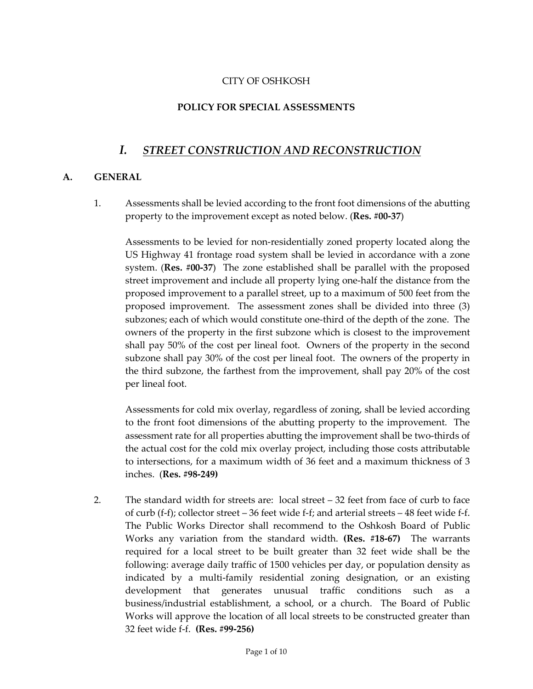### CITY OF OSHKOSH

### **POLICY FOR SPECIAL ASSESSMENTS**

# *I. STREET CONSTRUCTION AND RECONSTRUCTION*

#### **A. GENERAL**

1. Assessments shall be levied according to the front foot dimensions of the abutting property to the improvement except as noted below. (**Res. #00-37**)

Assessments to be levied for non-residentially zoned property located along the US Highway 41 frontage road system shall be levied in accordance with a zone system. (**Res. #00-37**) The zone established shall be parallel with the proposed street improvement and include all property lying one-half the distance from the proposed improvement to a parallel street, up to a maximum of 500 feet from the proposed improvement. The assessment zones shall be divided into three (3) subzones; each of which would constitute one-third of the depth of the zone. The owners of the property in the first subzone which is closest to the improvement shall pay 50% of the cost per lineal foot. Owners of the property in the second subzone shall pay 30% of the cost per lineal foot. The owners of the property in the third subzone, the farthest from the improvement, shall pay 20% of the cost per lineal foot.

Assessments for cold mix overlay, regardless of zoning, shall be levied according to the front foot dimensions of the abutting property to the improvement. The assessment rate for all properties abutting the improvement shall be two-thirds of the actual cost for the cold mix overlay project, including those costs attributable to intersections, for a maximum width of 36 feet and a maximum thickness of 3 inches. (**Res. #98-249)** 

2. The standard width for streets are: local street – 32 feet from face of curb to face of curb (f-f); collector street – 36 feet wide f-f; and arterial streets – 48 feet wide f-f. The Public Works Director shall recommend to the Oshkosh Board of Public Works any variation from the standard width. **(Res. #18-67)** The warrants required for a local street to be built greater than 32 feet wide shall be the following: average daily traffic of 1500 vehicles per day, or population density as indicated by a multi-family residential zoning designation, or an existing development that generates unusual traffic conditions such as a business/industrial establishment, a school, or a church. The Board of Public Works will approve the location of all local streets to be constructed greater than 32 feet wide f-f. **(Res. #99-256)**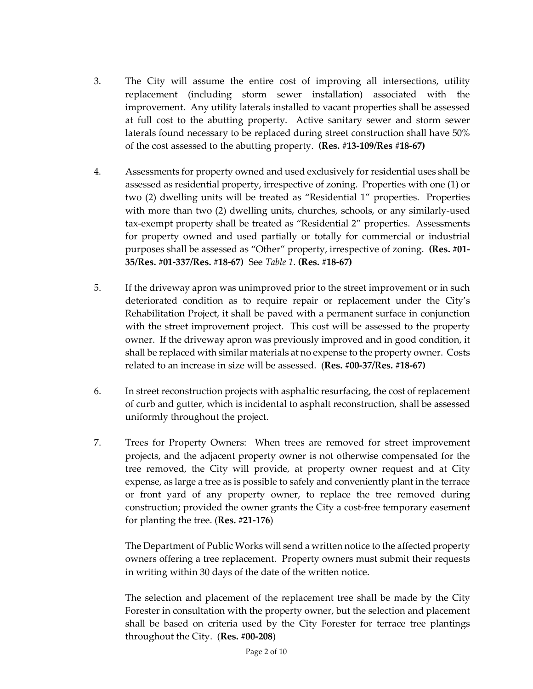- 3. The City will assume the entire cost of improving all intersections, utility replacement (including storm sewer installation) associated with the improvement. Any utility laterals installed to vacant properties shall be assessed at full cost to the abutting property. Active sanitary sewer and storm sewer laterals found necessary to be replaced during street construction shall have 50% of the cost assessed to the abutting property. **(Res. #13-109/Res #18-67)**
- 4. Assessments for property owned and used exclusively for residential uses shall be assessed as residential property, irrespective of zoning. Properties with one (1) or two (2) dwelling units will be treated as "Residential 1" properties. Properties with more than two (2) dwelling units, churches, schools, or any similarly-used tax-exempt property shall be treated as "Residential 2" properties. Assessments for property owned and used partially or totally for commercial or industrial purposes shall be assessed as "Other" property, irrespective of zoning. **(Res. #01- 35/Res. #01-337/Res. #18-67)** See *Table 1*. **(Res. #18-67)**
- 5. If the driveway apron was unimproved prior to the street improvement or in such deteriorated condition as to require repair or replacement under the City's Rehabilitation Project, it shall be paved with a permanent surface in conjunction with the street improvement project. This cost will be assessed to the property owner. If the driveway apron was previously improved and in good condition, it shall be replaced with similar materials at no expense to the property owner. Costs related to an increase in size will be assessed. (**Res. #00-37/Res. #18-67)**
- 6. In street reconstruction projects with asphaltic resurfacing, the cost of replacement of curb and gutter, which is incidental to asphalt reconstruction, shall be assessed uniformly throughout the project.
- 7. Trees for Property Owners: When trees are removed for street improvement projects, and the adjacent property owner is not otherwise compensated for the tree removed, the City will provide, at property owner request and at City expense, as large a tree as is possible to safely and conveniently plant in the terrace or front yard of any property owner, to replace the tree removed during construction; provided the owner grants the City a cost-free temporary easement for planting the tree. (**Res. #21-176**)

The Department of Public Works will send a written notice to the affected property owners offering a tree replacement. Property owners must submit their requests in writing within 30 days of the date of the written notice.

The selection and placement of the replacement tree shall be made by the City Forester in consultation with the property owner, but the selection and placement shall be based on criteria used by the City Forester for terrace tree plantings throughout the City. (**Res. #00-208**)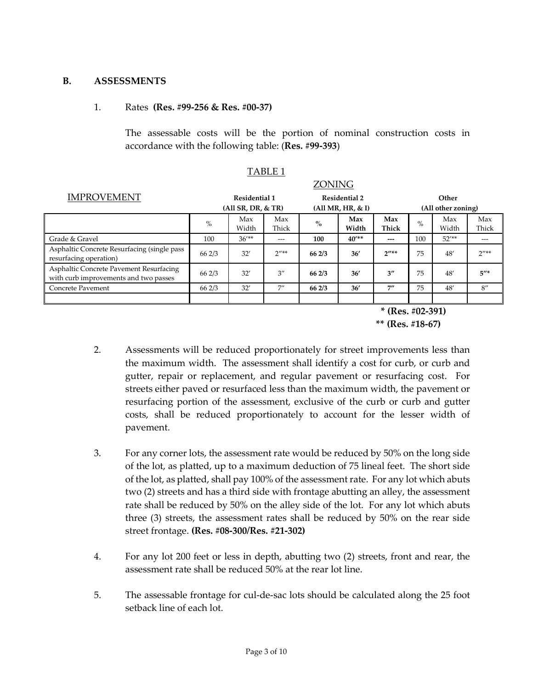#### **B. ASSESSMENTS**

#### 1. Rates **(Res. #99-256 & Res. #00-37)**

The assessable costs will be the portion of nominal construction costs in accordance with the following table: (**Res. #99-393**)

TABLE 1

|                                                                                  | ZONING        |                    |                    |                      |              |                    |                    |              |              |  |
|----------------------------------------------------------------------------------|---------------|--------------------|--------------------|----------------------|--------------|--------------------|--------------------|--------------|--------------|--|
| <b>IMPROVEMENT</b>                                                               | Residential 1 |                    |                    | <b>Residential 2</b> |              | Other              |                    |              |              |  |
|                                                                                  |               | (All SR, DR, & R)  |                    | (All MR, HR, & I)    |              |                    | (All other zoning) |              |              |  |
|                                                                                  | $\%$          | Max<br>Width       | Max<br>Thick       | $\%$                 | Max<br>Width | Max<br>Thick       | $\%$               | Max<br>Width | Max<br>Thick |  |
| Grade & Gravel                                                                   | 100           | 36''               | ---                | 100                  | 40''         | ---                | 100                | $52'$ **     | ---          |  |
| Asphaltic Concrete Resurfacing (single pass<br>resurfacing operation)            | 66 2/3        | 32'                | $2''**$            | 662/3                | 36'          | $2^{n**}$          | 75                 | 48'          | $2''**$      |  |
| Asphaltic Concrete Pavement Resurfacing<br>with curb improvements and two passes | 66 2/3        | 32'                | $3^{\prime\prime}$ | 662/3                | 36'          | $3^{\prime\prime}$ | 75                 | 48'          | $5''*$       |  |
| Concrete Pavement                                                                | 66 2/3        | 32'                | 7''                | 66 2/3               | 36'          | 7"                 | 75                 | 48'          | 8''          |  |
|                                                                                  |               |                    |                    |                      |              |                    |                    |              |              |  |
|                                                                                  |               | $*$ (Res. #02-391) |                    |                      |              |                    |                    |              |              |  |

 **\*\* (Res. #18-67)** 

- 2. Assessments will be reduced proportionately for street improvements less than the maximum width. The assessment shall identify a cost for curb, or curb and gutter, repair or replacement, and regular pavement or resurfacing cost. For streets either paved or resurfaced less than the maximum width, the pavement or resurfacing portion of the assessment, exclusive of the curb or curb and gutter costs, shall be reduced proportionately to account for the lesser width of pavement.
- 3. For any corner lots, the assessment rate would be reduced by 50% on the long side of the lot, as platted, up to a maximum deduction of 75 lineal feet. The short side of the lot, as platted, shall pay 100% of the assessment rate. For any lot which abuts two (2) streets and has a third side with frontage abutting an alley, the assessment rate shall be reduced by 50% on the alley side of the lot. For any lot which abuts three (3) streets, the assessment rates shall be reduced by 50% on the rear side street frontage. **(Res. #08-300/Res. #21-302)**
- 4. For any lot 200 feet or less in depth, abutting two (2) streets, front and rear, the assessment rate shall be reduced 50% at the rear lot line.
- 5. The assessable frontage for cul-de-sac lots should be calculated along the 25 foot setback line of each lot.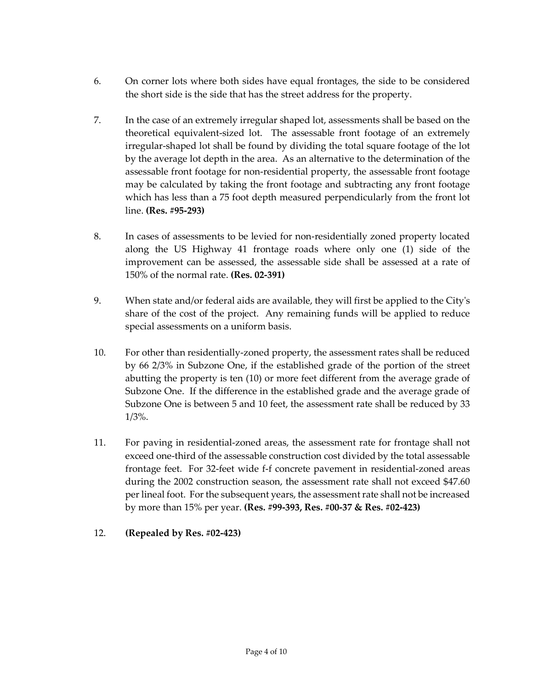- 6. On corner lots where both sides have equal frontages, the side to be considered the short side is the side that has the street address for the property.
- 7. In the case of an extremely irregular shaped lot, assessments shall be based on the theoretical equivalent-sized lot. The assessable front footage of an extremely irregular-shaped lot shall be found by dividing the total square footage of the lot by the average lot depth in the area. As an alternative to the determination of the assessable front footage for non-residential property, the assessable front footage may be calculated by taking the front footage and subtracting any front footage which has less than a 75 foot depth measured perpendicularly from the front lot line. **(Res. #95-293)**
- 8. In cases of assessments to be levied for non-residentially zoned property located along the US Highway 41 frontage roads where only one (1) side of the improvement can be assessed, the assessable side shall be assessed at a rate of 150% of the normal rate. **(Res. 02-391)**
- 9. When state and/or federal aids are available, they will first be applied to the City's share of the cost of the project. Any remaining funds will be applied to reduce special assessments on a uniform basis.
- 10. For other than residentially-zoned property, the assessment rates shall be reduced by 66 2/3% in Subzone One, if the established grade of the portion of the street abutting the property is ten (10) or more feet different from the average grade of Subzone One. If the difference in the established grade and the average grade of Subzone One is between 5 and 10 feet, the assessment rate shall be reduced by 33 1/3%.
- 11. For paving in residential-zoned areas, the assessment rate for frontage shall not exceed one-third of the assessable construction cost divided by the total assessable frontage feet. For 32-feet wide f-f concrete pavement in residential-zoned areas during the 2002 construction season, the assessment rate shall not exceed \$47.60 per lineal foot. For the subsequent years, the assessment rate shall not be increased by more than 15% per year. **(Res. #99-393, Res. #00-37 & Res. #02-423)**
- 12. **(Repealed by Res. #02-423)**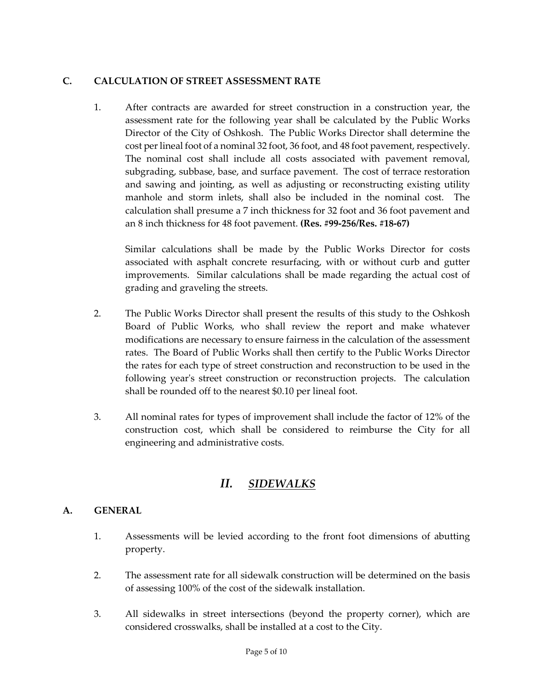# **C. CALCULATION OF STREET ASSESSMENT RATE**

1. After contracts are awarded for street construction in a construction year, the assessment rate for the following year shall be calculated by the Public Works Director of the City of Oshkosh. The Public Works Director shall determine the cost per lineal foot of a nominal 32 foot, 36 foot, and 48 foot pavement, respectively. The nominal cost shall include all costs associated with pavement removal, subgrading, subbase, base, and surface pavement. The cost of terrace restoration and sawing and jointing, as well as adjusting or reconstructing existing utility manhole and storm inlets, shall also be included in the nominal cost. The calculation shall presume a 7 inch thickness for 32 foot and 36 foot pavement and an 8 inch thickness for 48 foot pavement. **(Res. #99-256/Res. #18-67)**

Similar calculations shall be made by the Public Works Director for costs associated with asphalt concrete resurfacing, with or without curb and gutter improvements. Similar calculations shall be made regarding the actual cost of grading and graveling the streets.

- 2. The Public Works Director shall present the results of this study to the Oshkosh Board of Public Works, who shall review the report and make whatever modifications are necessary to ensure fairness in the calculation of the assessment rates. The Board of Public Works shall then certify to the Public Works Director the rates for each type of street construction and reconstruction to be used in the following year's street construction or reconstruction projects. The calculation shall be rounded off to the nearest \$0.10 per lineal foot.
- 3. All nominal rates for types of improvement shall include the factor of 12% of the construction cost, which shall be considered to reimburse the City for all engineering and administrative costs.

# *II. SIDEWALKS*

## **A. GENERAL**

- 1. Assessments will be levied according to the front foot dimensions of abutting property.
- 2. The assessment rate for all sidewalk construction will be determined on the basis of assessing 100% of the cost of the sidewalk installation.
- 3. All sidewalks in street intersections (beyond the property corner), which are considered crosswalks, shall be installed at a cost to the City.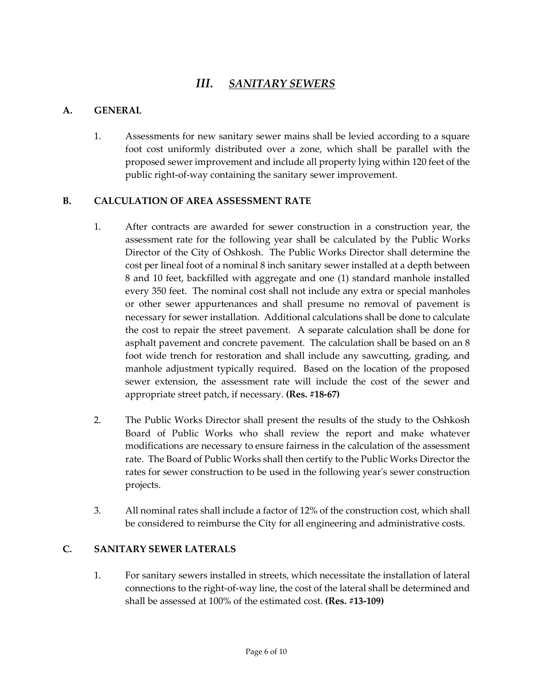# *III. SANITARY SEWERS*

## **A. GENERAL**

1. Assessments for new sanitary sewer mains shall be levied according to a square foot cost uniformly distributed over a zone, which shall be parallel with the proposed sewer improvement and include all property lying within 120 feet of the public right-of-way containing the sanitary sewer improvement.

# **B. CALCULATION OF AREA ASSESSMENT RATE**

- 1. After contracts are awarded for sewer construction in a construction year, the assessment rate for the following year shall be calculated by the Public Works Director of the City of Oshkosh. The Public Works Director shall determine the cost per lineal foot of a nominal 8 inch sanitary sewer installed at a depth between 8 and 10 feet, backfilled with aggregate and one (1) standard manhole installed every 350 feet. The nominal cost shall not include any extra or special manholes or other sewer appurtenances and shall presume no removal of pavement is necessary for sewer installation. Additional calculations shall be done to calculate the cost to repair the street pavement. A separate calculation shall be done for asphalt pavement and concrete pavement. The calculation shall be based on an 8 foot wide trench for restoration and shall include any sawcutting, grading, and manhole adjustment typically required. Based on the location of the proposed sewer extension, the assessment rate will include the cost of the sewer and appropriate street patch, if necessary. **(Res. #18-67)**
- 2. The Public Works Director shall present the results of the study to the Oshkosh Board of Public Works who shall review the report and make whatever modifications are necessary to ensure fairness in the calculation of the assessment rate. The Board of Public Works shall then certify to the Public Works Director the rates for sewer construction to be used in the following year's sewer construction projects.
- 3. All nominal rates shall include a factor of 12% of the construction cost, which shall be considered to reimburse the City for all engineering and administrative costs.

#### **C. SANITARY SEWER LATERALS**

1. For sanitary sewers installed in streets, which necessitate the installation of lateral connections to the right-of-way line, the cost of the lateral shall be determined and shall be assessed at 100% of the estimated cost. **(Res. #13-109)**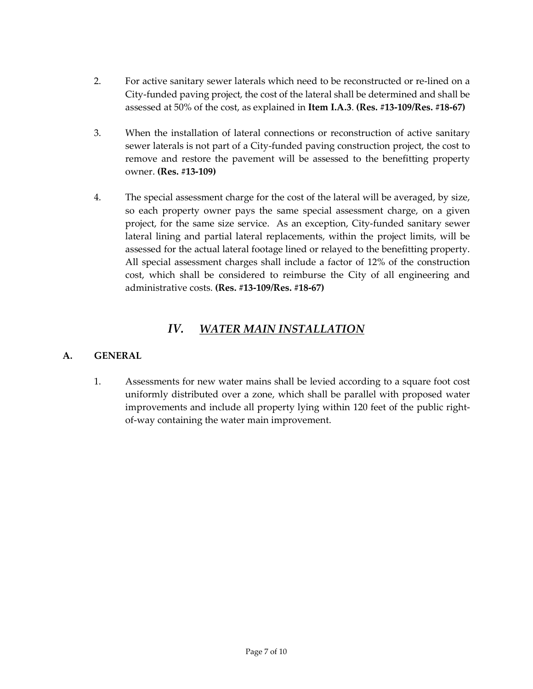- 2. For active sanitary sewer laterals which need to be reconstructed or re-lined on a City-funded paving project, the cost of the lateral shall be determined and shall be assessed at 50% of the cost, as explained in **Item I.A.3**. **(Res. #13-109/Res. #18-67)**
- 3. When the installation of lateral connections or reconstruction of active sanitary sewer laterals is not part of a City-funded paving construction project, the cost to remove and restore the pavement will be assessed to the benefitting property owner. **(Res. #13-109)**
- 4. The special assessment charge for the cost of the lateral will be averaged, by size, so each property owner pays the same special assessment charge, on a given project, for the same size service. As an exception, City-funded sanitary sewer lateral lining and partial lateral replacements, within the project limits, will be assessed for the actual lateral footage lined or relayed to the benefitting property. All special assessment charges shall include a factor of 12% of the construction cost, which shall be considered to reimburse the City of all engineering and administrative costs. **(Res. #13-109/Res. #18-67)**

# *IV. WATER MAIN INSTALLATION*

## **A. GENERAL**

1. Assessments for new water mains shall be levied according to a square foot cost uniformly distributed over a zone, which shall be parallel with proposed water improvements and include all property lying within 120 feet of the public rightof-way containing the water main improvement.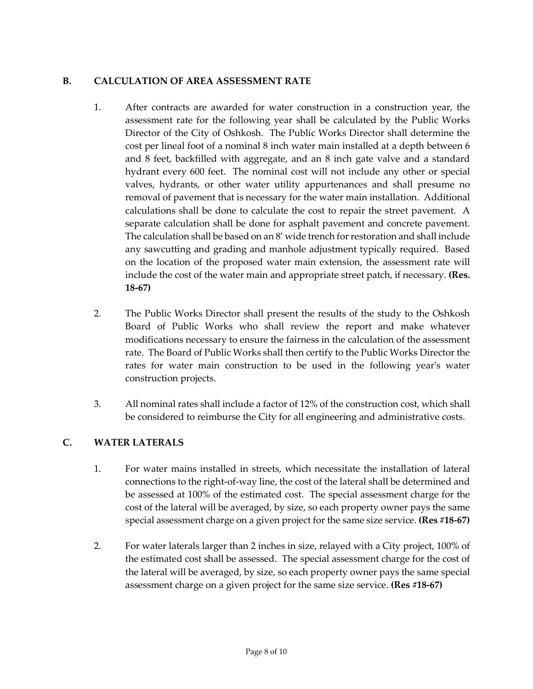# **B. CALCULATION OF AREA ASSESSMENT RATE**

- 1. After contracts are awarded for water construction in a construction year, the assessment rate for the following year shall be calculated by the Public Works Director of the City of Oshkosh. The Public Works Director shall determine the cost per lineal foot of a nominal 8 inch water main installed at a depth between 6 and 8 feet, backfilled with aggregate, and an 8 inch gate valve and a standard hydrant every 600 feet. The nominal cost will not include any other or special valves, hydrants, or other water utility appurtenances and shall presume no removal of pavement that is necessary for the water main installation. Additional calculations shall be done to calculate the cost to repair the street pavement. A separate calculation shall be done for asphalt pavement and concrete pavement. The calculation shall be based on an 8' wide trench for restoration and shall include any sawcutting and grading and manhole adjustment typically required. Based on the location of the proposed water main extension, the assessment rate will include the cost of the water main and appropriate street patch, if necessary. **(Res. 18-67)**
- 2. The Public Works Director shall present the results of the study to the Oshkosh Board of Public Works who shall review the report and make whatever modifications necessary to ensure the fairness in the calculation of the assessment rate. The Board of Public Works shall then certify to the Public Works Director the rates for water main construction to be used in the following year's water construction projects.
- 3. All nominal rates shall include a factor of 12% of the construction cost, which shall be considered to reimburse the City for all engineering and administrative costs.

## **C. WATER LATERALS**

- 1. For water mains installed in streets, which necessitate the installation of lateral connections to the right-of-way line, the cost of the lateral shall be determined and be assessed at 100% of the estimated cost. The special assessment charge for the cost of the lateral will be averaged, by size, so each property owner pays the same special assessment charge on a given project for the same size service. **(Res #18-67)**
- 2. For water laterals larger than 2 inches in size, relayed with a City project, 100% of the estimated cost shall be assessed. The special assessment charge for the cost of the lateral will be averaged, by size, so each property owner pays the same special assessment charge on a given project for the same size service. **(Res #18-67)**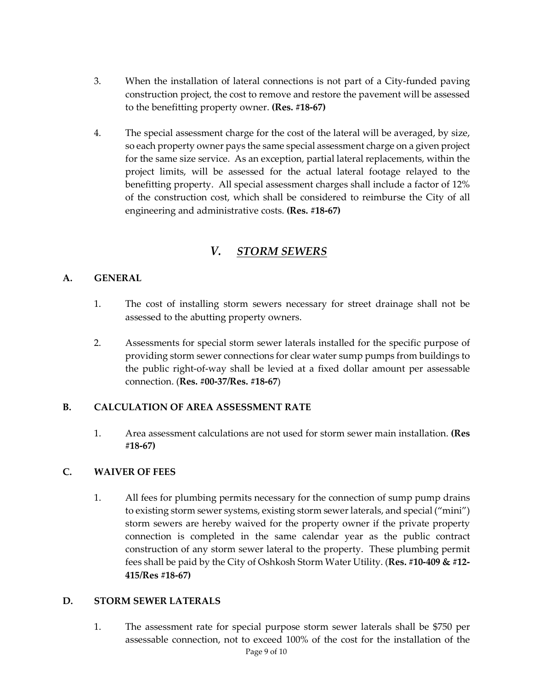- 3. When the installation of lateral connections is not part of a City-funded paving construction project, the cost to remove and restore the pavement will be assessed to the benefitting property owner. **(Res. #18-67)**
- 4. The special assessment charge for the cost of the lateral will be averaged, by size, so each property owner pays the same special assessment charge on a given project for the same size service. As an exception, partial lateral replacements, within the project limits, will be assessed for the actual lateral footage relayed to the benefitting property. All special assessment charges shall include a factor of 12% of the construction cost, which shall be considered to reimburse the City of all engineering and administrative costs. **(Res. #18-67)**

# *V. STORM SEWERS*

## **A. GENERAL**

- 1. The cost of installing storm sewers necessary for street drainage shall not be assessed to the abutting property owners.
- 2. Assessments for special storm sewer laterals installed for the specific purpose of providing storm sewer connections for clear water sump pumps from buildings to the public right-of-way shall be levied at a fixed dollar amount per assessable connection. (**Res. #00-37/Res. #18-67**)

## **B. CALCULATION OF AREA ASSESSMENT RATE**

1. Area assessment calculations are not used for storm sewer main installation. **(Res #18-67)**

## **C. WAIVER OF FEES**

1. All fees for plumbing permits necessary for the connection of sump pump drains to existing storm sewer systems, existing storm sewer laterals, and special ("mini") storm sewers are hereby waived for the property owner if the private property connection is completed in the same calendar year as the public contract construction of any storm sewer lateral to the property. These plumbing permit fees shall be paid by the City of Oshkosh Storm Water Utility. (**Res. #10-409 & #12- 415/Res #18-67)**

## **D. STORM SEWER LATERALS**

1. The assessment rate for special purpose storm sewer laterals shall be \$750 per assessable connection, not to exceed 100% of the cost for the installation of the